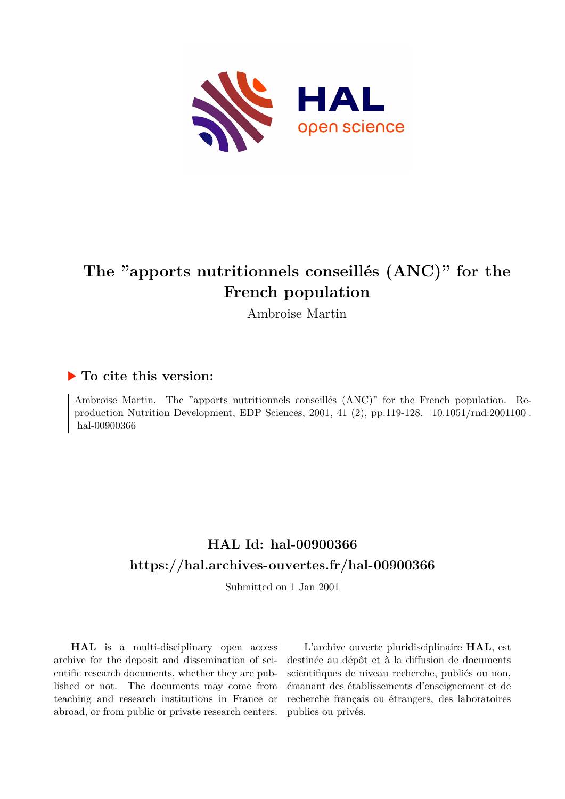

# **The "apports nutritionnels conseillés (ANC)" for the French population**

Ambroise Martin

## **To cite this version:**

Ambroise Martin. The "apports nutritionnels conseillés (ANC)" for the French population. Reproduction Nutrition Development, EDP Sciences,  $2001$ ,  $41$   $(2)$ , pp.119-128.  $10.1051/rnd:2001100$ . hal-00900366

# **HAL Id: hal-00900366 <https://hal.archives-ouvertes.fr/hal-00900366>**

Submitted on 1 Jan 2001

**HAL** is a multi-disciplinary open access archive for the deposit and dissemination of scientific research documents, whether they are published or not. The documents may come from teaching and research institutions in France or abroad, or from public or private research centers.

L'archive ouverte pluridisciplinaire **HAL**, est destinée au dépôt et à la diffusion de documents scientifiques de niveau recherche, publiés ou non, émanant des établissements d'enseignement et de recherche français ou étrangers, des laboratoires publics ou privés.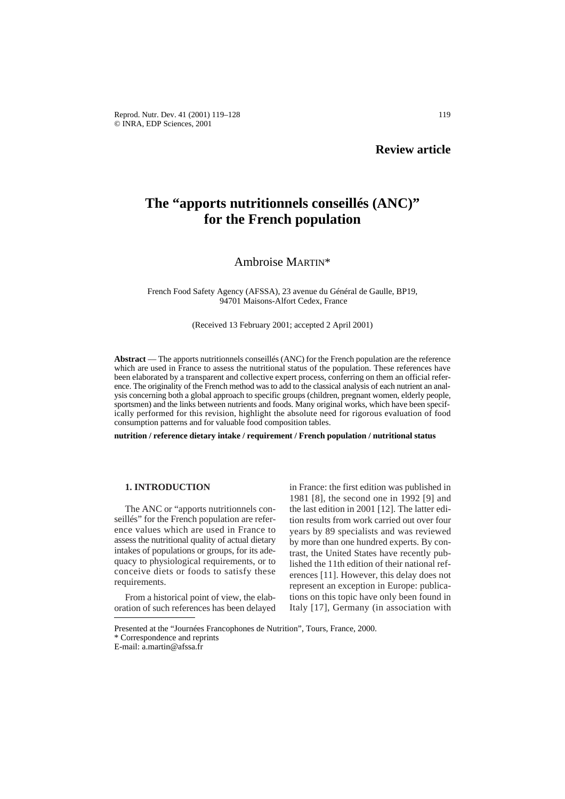Reprod. Nutr. Dev. 41 (2001) 119–128 119 © INRA, EDP Sciences, 2001

## **The "apports nutritionnels conseillés (ANC)" for the French population**

### Ambroise MARTIN\*

French Food Safety Agency (AFSSA), 23 avenue du Général de Gaulle, BP19, 94701 Maisons-Alfort Cedex, France

(Received 13 February 2001; accepted 2 April 2001)

**Abstract** — The apports nutritionnels conseillés (ANC) for the French population are the reference which are used in France to assess the nutritional status of the population. These references have been elaborated by a transparent and collective expert process, conferring on them an official reference. The originality of the French method was to add to the classical analysis of each nutrient an analysis concerning both a global approach to specific groups (children, pregnant women, elderly people, sportsmen) and the links between nutrients and foods. Many original works, which have been specifically performed for this revision, highlight the absolute need for rigorous evaluation of food consumption patterns and for valuable food composition tables.

**nutrition / reference dietary intake / requirement / French population / nutritional status**

#### **1. INTRODUCTION**

The ANC or "apports nutritionnels conseillés" for the French population are reference values which are used in France to assess the nutritional quality of actual dietary intakes of populations or groups, for its adequacy to physiological requirements, or to conceive diets or foods to satisfy these requirements.

From a historical point of view, the elaboration of such references has been delayed in France: the first edition was published in 1981 [8], the second one in 1992 [9] and the last edition in 2001 [12]. The latter edition results from work carried out over four years by 89 specialists and was reviewed by more than one hundred experts. By contrast, the United States have recently published the 11th edition of their national references [11]. However, this delay does not represent an exception in Europe: publications on this topic have only been found in Italy [17], Germany (in association with

Presented at the "Journées Francophones de Nutrition", Tours, France, 2000. \* Correspondence and reprints

E-mail: a.martin@afssa.fr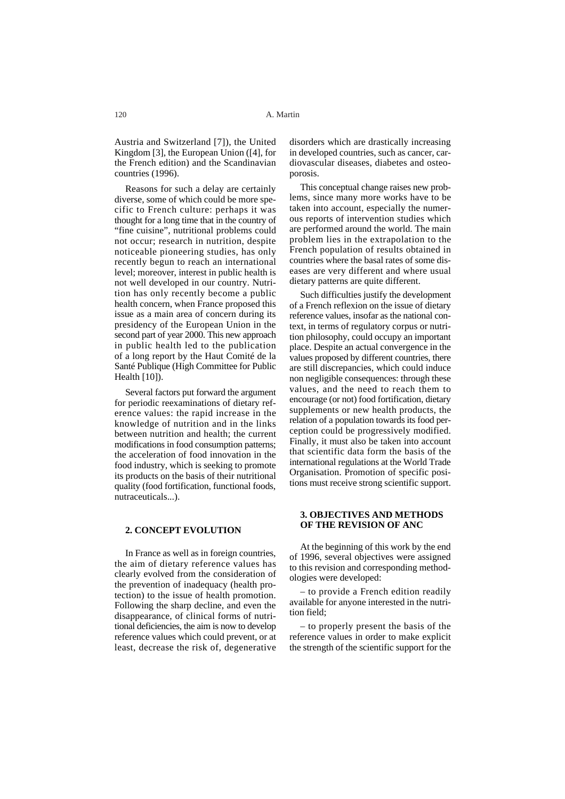Austria and Switzerland [7]), the United Kingdom [3], the European Union ([4], for the French edition) and the Scandinavian countries (1996).

Reasons for such a delay are certainly diverse, some of which could be more specific to French culture: perhaps it was thought for a long time that in the country of "fine cuisine", nutritional problems could not occur; research in nutrition, despite noticeable pioneering studies, has only recently begun to reach an international level; moreover, interest in public health is not well developed in our country. Nutrition has only recently become a public health concern, when France proposed this issue as a main area of concern during its presidency of the European Union in the second part of year 2000. This new approach in public health led to the publication of a long report by the Haut Comité de la Santé Publique (High Committee for Public Health [10]).

Several factors put forward the argument for periodic reexaminations of dietary reference values: the rapid increase in the knowledge of nutrition and in the links between nutrition and health; the current modifications in food consumption patterns; the acceleration of food innovation in the food industry, which is seeking to promote its products on the basis of their nutritional quality (food fortification, functional foods, nutraceuticals...).

#### **2. CONCEPT EVOLUTION**

In France as well as in foreign countries, the aim of dietary reference values has clearly evolved from the consideration of the prevention of inadequacy (health protection) to the issue of health promotion. Following the sharp decline, and even the disappearance, of clinical forms of nutritional deficiencies, the aim is now to develop reference values which could prevent, or at least, decrease the risk of, degenerative

disorders which are drastically increasing in developed countries, such as cancer, cardiovascular diseases, diabetes and osteoporosis.

This conceptual change raises new problems, since many more works have to be taken into account, especially the numerous reports of intervention studies which are performed around the world. The main problem lies in the extrapolation to the French population of results obtained in countries where the basal rates of some diseases are very different and where usual dietary patterns are quite different.

Such difficulties justify the development of a French reflexion on the issue of dietary reference values, insofar as the national context, in terms of regulatory corpus or nutrition philosophy, could occupy an important place. Despite an actual convergence in the values proposed by different countries, there are still discrepancies, which could induce non negligible consequences: through these values, and the need to reach them to encourage (or not) food fortification, dietary supplements or new health products, the relation of a population towards its food perception could be progressively modified. Finally, it must also be taken into account that scientific data form the basis of the international regulations at the World Trade Organisation. Promotion of specific positions must receive strong scientific support.

#### **3. OBJECTIVES AND METHODS OF THE REVISION OF ANC**

At the beginning of this work by the end of 1996, several objectives were assigned to this revision and corresponding methodologies were developed:

– to provide a French edition readily available for anyone interested in the nutrition field;

– to properly present the basis of the reference values in order to make explicit the strength of the scientific support for the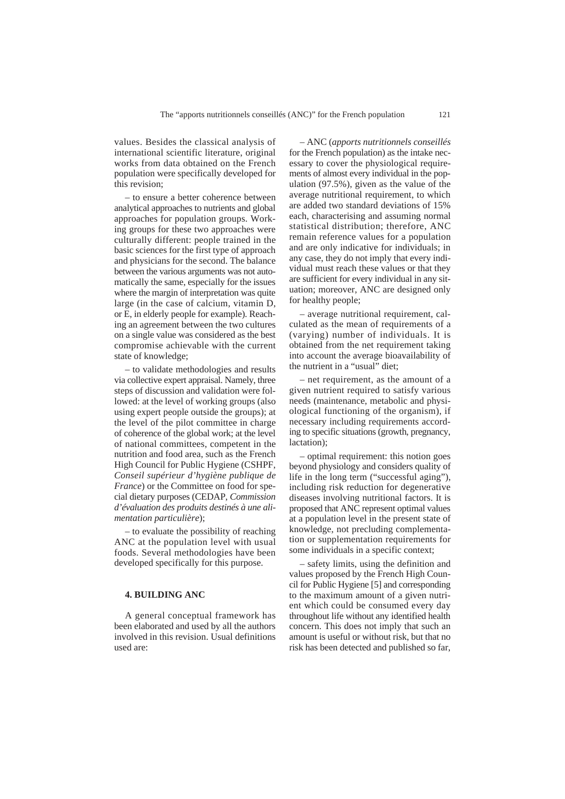values. Besides the classical analysis of international scientific literature, original works from data obtained on the French population were specifically developed for this revision;

– to ensure a better coherence between analytical approaches to nutrients and global approaches for population groups. Working groups for these two approaches were culturally different: people trained in the basic sciences for the first type of approach and physicians for the second. The balance between the various arguments was not automatically the same, especially for the issues where the margin of interpretation was quite large (in the case of calcium, vitamin D, or E, in elderly people for example). Reaching an agreement between the two cultures on a single value was considered as the best compromise achievable with the current state of knowledge;

– to validate methodologies and results via collective expert appraisal. Namely, three steps of discussion and validation were followed: at the level of working groups (also using expert people outside the groups); at the level of the pilot committee in charge of coherence of the global work; at the level of national committees, competent in the nutrition and food area, such as the French High Council for Public Hygiene (CSHPF, *Conseil supérieur d'hygiène publique de France*) or the Committee on food for special dietary purposes (CEDAP, *Commission d'évaluation des produits destinés à une alimentation particulière*);

– to evaluate the possibility of reaching ANC at the population level with usual foods. Several methodologies have been developed specifically for this purpose.

#### **4. BUILDING ANC**

A general conceptual framework has been elaborated and used by all the authors involved in this revision. Usual definitions used are:

– ANC (*apports nutritionnels conseillés* for the French population) as the intake necessary to cover the physiological requirements of almost every individual in the population (97.5%), given as the value of the average nutritional requirement, to which are added two standard deviations of 15% each, characterising and assuming normal statistical distribution; therefore, ANC remain reference values for a population and are only indicative for individuals; in any case, they do not imply that every individual must reach these values or that they are sufficient for every individual in any situation; moreover, ANC are designed only for healthy people;

– average nutritional requirement, calculated as the mean of requirements of a (varying) number of individuals. It is obtained from the net requirement taking into account the average bioavailability of the nutrient in a "usual" diet;

– net requirement, as the amount of a given nutrient required to satisfy various needs (maintenance, metabolic and physiological functioning of the organism), if necessary including requirements according to specific situations (growth, pregnancy, lactation);

– optimal requirement: this notion goes beyond physiology and considers quality of life in the long term ("successful aging"), including risk reduction for degenerative diseases involving nutritional factors. It is proposed that ANC represent optimal values at a population level in the present state of knowledge, not precluding complementation or supplementation requirements for some individuals in a specific context;

– safety limits, using the definition and values proposed by the French High Council for Public Hygiene [5] and corresponding to the maximum amount of a given nutrient which could be consumed every day throughout life without any identified health concern. This does not imply that such an amount is useful or without risk, but that no risk has been detected and published so far,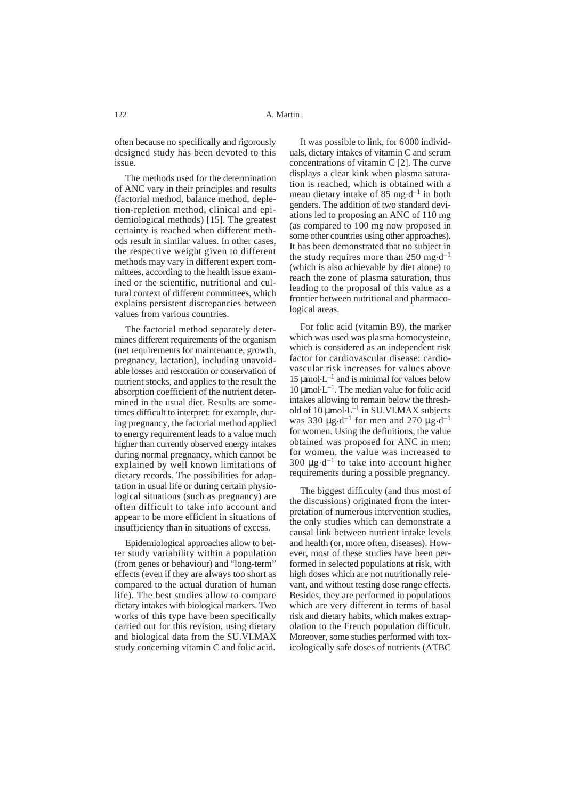often because no specifically and rigorously designed study has been devoted to this issue.

The methods used for the determination of ANC vary in their principles and results (factorial method, balance method, depletion-repletion method, clinical and epidemiological methods) [15]. The greatest certainty is reached when different methods result in similar values. In other cases, the respective weight given to different methods may vary in different expert committees, according to the health issue examined or the scientific, nutritional and cultural context of different committees, which explains persistent discrepancies between values from various countries.

The factorial method separately determines different requirements of the organism (net requirements for maintenance, growth, pregnancy, lactation), including unavoidable losses and restoration or conservation of nutrient stocks, and applies to the result the absorption coefficient of the nutrient determined in the usual diet. Results are sometimes difficult to interpret: for example, during pregnancy, the factorial method applied to energy requirement leads to a value much higher than currently observed energy intakes during normal pregnancy, which cannot be explained by well known limitations of dietary records. The possibilities for adaptation in usual life or during certain physiological situations (such as pregnancy) are often difficult to take into account and appear to be more efficient in situations of insufficiency than in situations of excess.

Epidemiological approaches allow to better study variability within a population (from genes or behaviour) and "long-term" effects (even if they are always too short as compared to the actual duration of human life). The best studies allow to compare dietary intakes with biological markers. Two works of this type have been specifically carried out for this revision, using dietary and biological data from the SU.VI.MAX study concerning vitamin C and folic acid.

It was possible to link, for 6000 individuals, dietary intakes of vitamin C and serum concentrations of vitamin C [2]. The curve displays a clear kink when plasma saturation is reached, which is obtained with a mean dietary intake of 85 mg $\cdot$ d<sup>-1</sup> in both genders. The addition of two standard deviations led to proposing an ANC of 110 mg (as compared to 100 mg now proposed in some other countries using other approaches). It has been demonstrated that no subject in the study requires more than 250 mg $\cdot d^{-1}$ (which is also achievable by diet alone) to reach the zone of plasma saturation, thus leading to the proposal of this value as a frontier between nutritional and pharmacological areas.

For folic acid (vitamin B9), the marker which was used was plasma homocysteine, which is considered as an independent risk factor for cardiovascular disease: cardiovascular risk increases for values above  $15 \mu$ mol $\cdot L^{-1}$  and is minimal for values below  $10 \mu$ mol $L^{-1}$ . The median value for folic acid intakes allowing to remain below the threshold of  $10 \mu \text{mol} \cdot \text{L}^{-1}$  in SU.VI.MAX subjects was  $330 \mu$ g.d<sup>-1</sup> for men and  $270 \mu$ g.d<sup>-1</sup> for women. Using the definitions, the value obtained was proposed for ANC in men; for women, the value was increased to 300  $\mu$ g·d<sup>-1</sup> to take into account higher requirements during a possible pregnancy.

The biggest difficulty (and thus most of the discussions) originated from the interpretation of numerous intervention studies, the only studies which can demonstrate a causal link between nutrient intake levels and health (or, more often, diseases). However, most of these studies have been performed in selected populations at risk, with high doses which are not nutritionally relevant, and without testing dose range effects. Besides, they are performed in populations which are very different in terms of basal risk and dietary habits, which makes extrapolation to the French population difficult. Moreover, some studies performed with toxicologically safe doses of nutrients (ATBC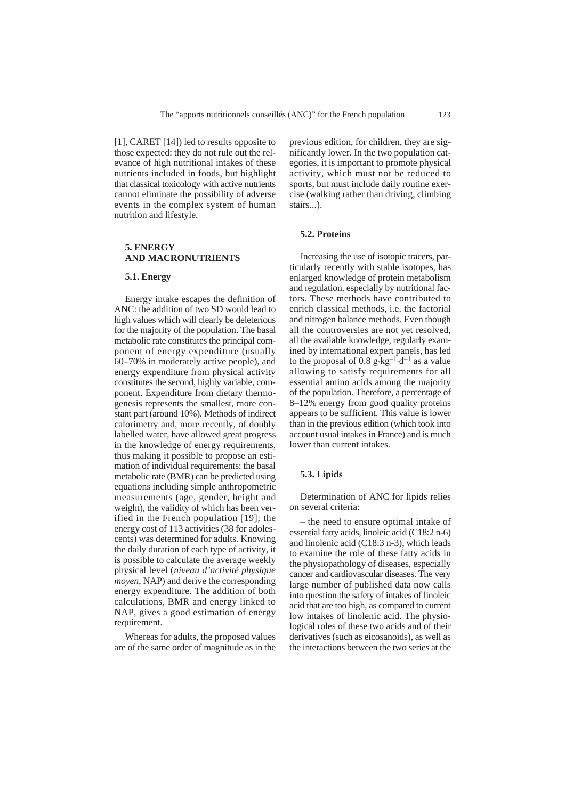[1], CARET [14]) led to results opposite to those expected: they do not rule out the relevance of high nutritional intakes of these nutrients included in foods, but highlight that classical toxicology with active nutrients cannot eliminate the possibility of adverse events in the complex system of human nutrition and lifestyle.

#### **5. ENERGY AND MACRONUTRIENTS**

#### **5.1. Energy**

Energy intake escapes the definition of ANC: the addition of two SD would lead to high values which will clearly be deleterious for the majority of the population. The basal metabolic rate constitutes the principal component of energy expenditure (usually 60–70% in moderately active people), and energy expenditure from physical activity constitutes the second, highly variable, component. Expenditure from dietary thermogenesis represents the smallest, more constant part (around 10%). Methods of indirect calorimetry and, more recently, of doubly labelled water, have allowed great progress in the knowledge of energy requirements, thus making it possible to propose an estimation of individual requirements: the basal metabolic rate (BMR) can be predicted using equations including simple anthropometric measurements (age, gender, height and weight), the validity of which has been verified in the French population [19]; the energy cost of 113 activities (38 for adolescents) was determined for adults. Knowing the daily duration of each type of activity, it is possible to calculate the average weekly physical level (*niveau d'activité physique moyen*, NAP) and derive the corresponding energy expenditure. The addition of both calculations, BMR and energy linked to NAP, gives a good estimation of energy requirement.

Whereas for adults, the proposed values are of the same order of magnitude as in the

previous edition, for children, they are significantly lower. In the two population categories, it is important to promote physical activity, which must not be reduced to sports, but must include daily routine exercise (walking rather than driving, climbing stairs...).

#### **5.2. Proteins**

Increasing the use of isotopic tracers, particularly recently with stable isotopes, has enlarged knowledge of protein metabolism and regulation, especially by nutritional factors. These methods have contributed to enrich classical methods, i.e. the factorial and nitrogen balance methods. Even though all the controversies are not yet resolved, all the available knowledge, regularly examined by international expert panels, has led to the proposal of 0.8  $g \cdot kg^{-1} d^{-1}$  as a value allowing to satisfy requirements for all essential amino acids among the majority of the population. Therefore, a percentage of 8–12% energy from good quality proteins appears to be sufficient. This value is lower than in the previous edition (which took into account usual intakes in France) and is much lower than current intakes.

### **5.3. Lipids**

Determination of ANC for lipids relies on several criteria:

– the need to ensure optimal intake of essential fatty acids, linoleic acid (C18:2 n-6) and linolenic acid (C18:3 n-3), which leads to examine the role of these fatty acids in the physiopathology of diseases, especially cancer and cardiovascular diseases. The very large number of published data now calls into question the safety of intakes of linoleic acid that are too high, as compared to current low intakes of linolenic acid. The physiological roles of these two acids and of their derivatives (such as eicosanoids), as well as the interactions between the two series at the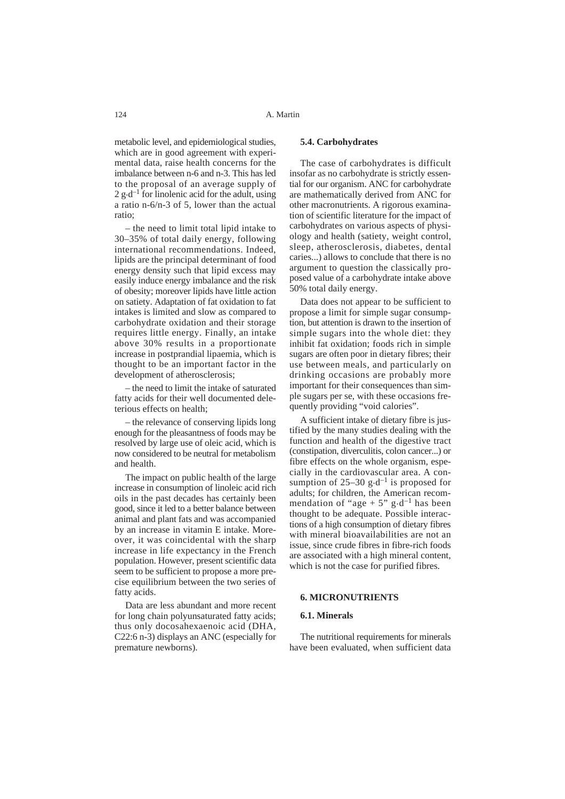metabolic level, and epidemiological studies, which are in good agreement with experimental data, raise health concerns for the imbalance between n-6 and n-3. This has led to the proposal of an average supply of  $2$  g $\cdot$ d<sup>-1</sup> for linolenic acid for the adult, using a ratio n-6/n-3 of 5, lower than the actual ratio;

– the need to limit total lipid intake to 30–35% of total daily energy, following international recommendations. Indeed, lipids are the principal determinant of food energy density such that lipid excess may easily induce energy imbalance and the risk of obesity; moreover lipids have little action on satiety. Adaptation of fat oxidation to fat intakes is limited and slow as compared to carbohydrate oxidation and their storage requires little energy. Finally, an intake above 30% results in a proportionate increase in postprandial lipaemia, which is thought to be an important factor in the development of atherosclerosis;

– the need to limit the intake of saturated fatty acids for their well documented deleterious effects on health;

– the relevance of conserving lipids long enough for the pleasantness of foods may be resolved by large use of oleic acid, which is now considered to be neutral for metabolism and health.

The impact on public health of the large increase in consumption of linoleic acid rich oils in the past decades has certainly been good, since it led to a better balance between animal and plant fats and was accompanied by an increase in vitamin E intake. Moreover, it was coincidental with the sharp increase in life expectancy in the French population. However, present scientific data seem to be sufficient to propose a more precise equilibrium between the two series of fatty acids.

Data are less abundant and more recent for long chain polyunsaturated fatty acids; thus only docosahexaenoic acid (DHA, C22:6 n-3) displays an ANC (especially for premature newborns).

#### **5.4. Carbohydrates**

The case of carbohydrates is difficult insofar as no carbohydrate is strictly essential for our organism. ANC for carbohydrate are mathematically derived from ANC for other macronutrients. A rigorous examination of scientific literature for the impact of carbohydrates on various aspects of physiology and health (satiety, weight control, sleep, atherosclerosis, diabetes, dental caries...) allows to conclude that there is no argument to question the classically proposed value of a carbohydrate intake above 50% total daily energy.

Data does not appear to be sufficient to propose a limit for simple sugar consumption, but attention is drawn to the insertion of simple sugars into the whole diet: they inhibit fat oxidation; foods rich in simple sugars are often poor in dietary fibres; their use between meals, and particularly on drinking occasions are probably more important for their consequences than simple sugars per se, with these occasions frequently providing "void calories".

A sufficient intake of dietary fibre is justified by the many studies dealing with the function and health of the digestive tract (constipation, diverculitis, colon cancer...) or fibre effects on the whole organism, especially in the cardiovascular area. A consumption of  $25-30$  g $\cdot$ d<sup>-1</sup> is proposed for adults; for children, the American recommendation of "age + 5"  $g \cdot d^{-1}$  has been thought to be adequate. Possible interactions of a high consumption of dietary fibres with mineral bioavailabilities are not an issue, since crude fibres in fibre-rich foods are associated with a high mineral content, which is not the case for purified fibres.

#### **6. MICRONUTRIENTS**

#### **6.1. Minerals**

The nutritional requirements for minerals have been evaluated, when sufficient data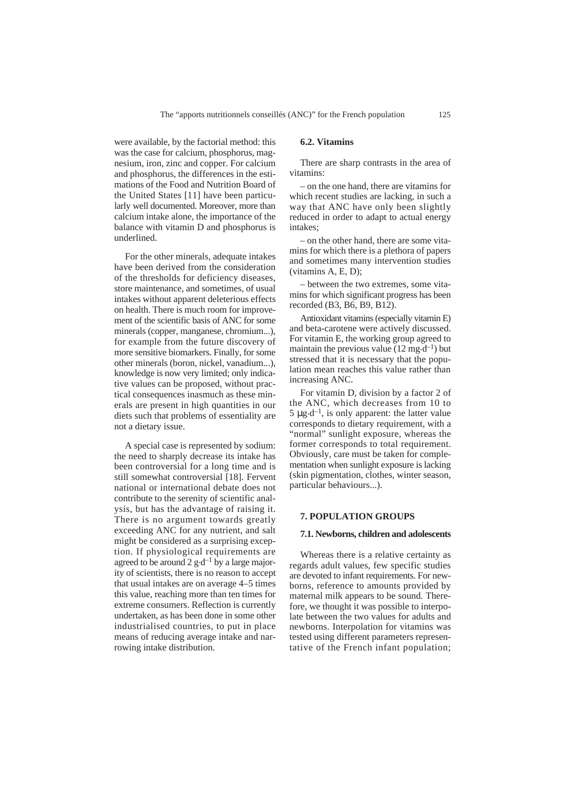were available, by the factorial method: this was the case for calcium, phosphorus, magnesium, iron, zinc and copper. For calcium and phosphorus, the differences in the estimations of the Food and Nutrition Board of the United States [11] have been particularly well documented. Moreover, more than calcium intake alone, the importance of the balance with vitamin D and phosphorus is underlined.

For the other minerals, adequate intakes have been derived from the consideration of the thresholds for deficiency diseases, store maintenance, and sometimes, of usual intakes without apparent deleterious effects on health. There is much room for improvement of the scientific basis of ANC for some minerals (copper, manganese, chromium...), for example from the future discovery of more sensitive biomarkers. Finally, for some other minerals (boron, nickel, vanadium...), knowledge is now very limited; only indicative values can be proposed, without practical consequences inasmuch as these minerals are present in high quantities in our diets such that problems of essentiality are not a dietary issue.

A special case is represented by sodium: the need to sharply decrease its intake has been controversial for a long time and is still somewhat controversial [18]. Fervent national or international debate does not contribute to the serenity of scientific analysis, but has the advantage of raising it. There is no argument towards greatly exceeding ANC for any nutrient, and salt might be considered as a surprising exception. If physiological requirements are agreed to be around 2  $g \cdot d^{-1}$  by a large majority of scientists, there is no reason to accept that usual intakes are on average 4–5 times this value, reaching more than ten times for extreme consumers. Reflection is currently undertaken, as has been done in some other industrialised countries, to put in place means of reducing average intake and narrowing intake distribution.

#### **6.2. Vitamins**

There are sharp contrasts in the area of vitamins:

– on the one hand, there are vitamins for which recent studies are lacking, in such a way that ANC have only been slightly reduced in order to adapt to actual energy intakes;

– on the other hand, there are some vitamins for which there is a plethora of papers and sometimes many intervention studies (vitamins A, E, D);

– between the two extremes, some vitamins for which significant progress has been recorded (B3, B6, B9, B12).

Antioxidant vitamins (especially vitamin E) and beta-carotene were actively discussed. For vitamin E, the working group agreed to maintain the previous value (12 mg $\cdot$ d<sup>-1</sup>) but stressed that it is necessary that the population mean reaches this value rather than increasing ANC.

For vitamin D, division by a factor 2 of the ANC, which decreases from 10 to 5  $\mu$ g·d<sup>-1</sup>, is only apparent: the latter value corresponds to dietary requirement, with a "normal" sunlight exposure, whereas the former corresponds to total requirement. Obviously, care must be taken for complementation when sunlight exposure is lacking (skin pigmentation, clothes, winter season, particular behaviours...).

#### **7. POPULATION GROUPS**

#### **7.1. Newborns, children and adolescents**

Whereas there is a relative certainty as regards adult values, few specific studies are devoted to infant requirements. For newborns, reference to amounts provided by maternal milk appears to be sound. Therefore, we thought it was possible to interpolate between the two values for adults and newborns. Interpolation for vitamins was tested using different parameters representative of the French infant population;

125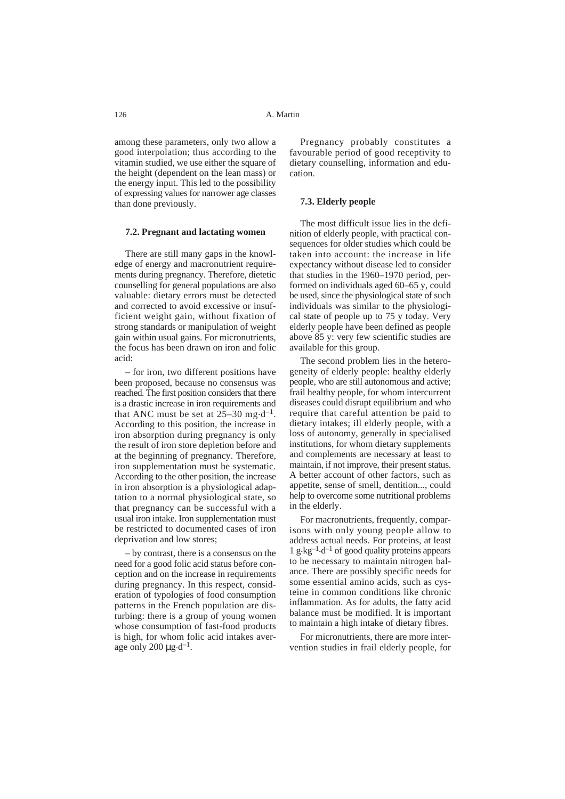among these parameters, only two allow a good interpolation; thus according to the vitamin studied, we use either the square of the height (dependent on the lean mass) or the energy input. This led to the possibility of expressing values for narrower age classes than done previously.

#### **7.2. Pregnant and lactating women**

There are still many gaps in the knowledge of energy and macronutrient requirements during pregnancy. Therefore, dietetic counselling for general populations are also valuable: dietary errors must be detected and corrected to avoid excessive or insufficient weight gain, without fixation of strong standards or manipulation of weight gain within usual gains. For micronutrients, the focus has been drawn on iron and folic acid:

– for iron, two different positions have been proposed, because no consensus was reached. The first position considers that there is a drastic increase in iron requirements and that ANC must be set at  $25-30$  mg $\cdot d^{-1}$ . According to this position, the increase in iron absorption during pregnancy is only the result of iron store depletion before and at the beginning of pregnancy. Therefore, iron supplementation must be systematic. According to the other position, the increase in iron absorption is a physiological adaptation to a normal physiological state, so that pregnancy can be successful with a usual iron intake. Iron supplementation must be restricted to documented cases of iron deprivation and low stores;

– by contrast, there is a consensus on the need for a good folic acid status before conception and on the increase in requirements during pregnancy. In this respect, consideration of typologies of food consumption patterns in the French population are disturbing: there is a group of young women whose consumption of fast-food products is high, for whom folic acid intakes average only 200  $\mu$ g $\cdot$ d<sup>-1</sup>.

Pregnancy probably constitutes a favourable period of good receptivity to dietary counselling, information and education.

#### **7.3. Elderly people**

The most difficult issue lies in the definition of elderly people, with practical consequences for older studies which could be taken into account: the increase in life expectancy without disease led to consider that studies in the 1960–1970 period, performed on individuals aged 60–65 y, could be used, since the physiological state of such individuals was similar to the physiological state of people up to 75 y today. Very elderly people have been defined as people above 85 y: very few scientific studies are available for this group.

The second problem lies in the heterogeneity of elderly people: healthy elderly people, who are still autonomous and active; frail healthy people, for whom intercurrent diseases could disrupt equilibrium and who require that careful attention be paid to dietary intakes; ill elderly people, with a loss of autonomy, generally in specialised institutions, for whom dietary supplements and complements are necessary at least to maintain, if not improve, their present status. A better account of other factors, such as appetite, sense of smell, dentition..., could help to overcome some nutritional problems in the elderly.

For macronutrients, frequently, comparisons with only young people allow to address actual needs. For proteins, at least  $1 \text{ g} \cdot \text{kg}^{-1} \cdot d^{-1}$  of good quality proteins appears to be necessary to maintain nitrogen balance. There are possibly specific needs for some essential amino acids, such as cysteine in common conditions like chronic inflammation. As for adults, the fatty acid balance must be modified. It is important to maintain a high intake of dietary fibres.

For micronutrients, there are more intervention studies in frail elderly people, for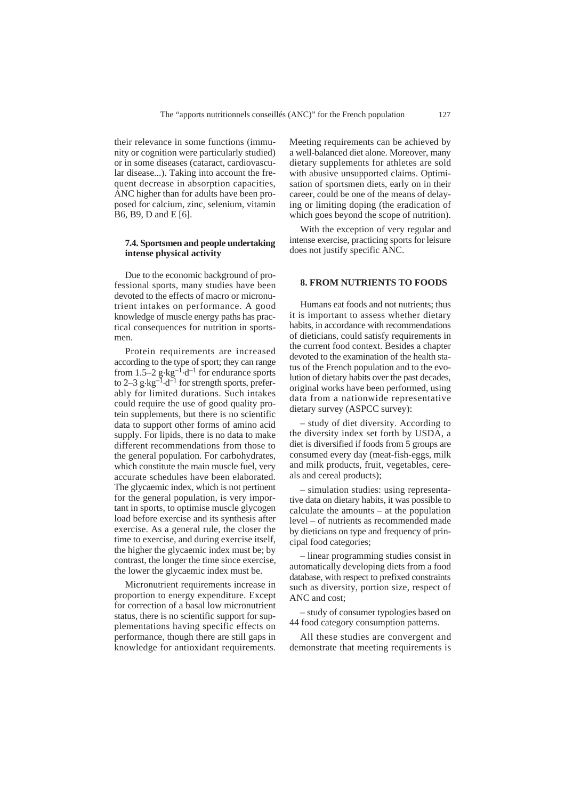their relevance in some functions (immunity or cognition were particularly studied) or in some diseases (cataract, cardiovascular disease...). Taking into account the frequent decrease in absorption capacities, ANC higher than for adults have been proposed for calcium, zinc, selenium, vitamin B6, B9, D and E [6].

#### **7.4. Sportsmen and people undertaking intense physical activity**

Due to the economic background of professional sports, many studies have been devoted to the effects of macro or micronutrient intakes on performance. A good knowledge of muscle energy paths has practical consequences for nutrition in sportsmen.

Protein requirements are increased according to the type of sport; they can range from  $1.5-2$  g $\cdot$ kg<sup>-1</sup> $\cdot$ d<sup>-1</sup> for endurance sports to 2–3  $g \cdot kg^{-1} \cdot d^{-1}$  for strength sports, preferably for limited durations. Such intakes could require the use of good quality protein supplements, but there is no scientific data to support other forms of amino acid supply. For lipids, there is no data to make different recommendations from those to the general population. For carbohydrates, which constitute the main muscle fuel, very accurate schedules have been elaborated. The glycaemic index, which is not pertinent for the general population, is very important in sports, to optimise muscle glycogen load before exercise and its synthesis after exercise. As a general rule, the closer the time to exercise, and during exercise itself, the higher the glycaemic index must be; by contrast, the longer the time since exercise, the lower the glycaemic index must be.

Micronutrient requirements increase in proportion to energy expenditure. Except for correction of a basal low micronutrient status, there is no scientific support for supplementations having specific effects on performance, though there are still gaps in knowledge for antioxidant requirements. Meeting requirements can be achieved by a well-balanced diet alone. Moreover, many dietary supplements for athletes are sold with abusive unsupported claims. Optimisation of sportsmen diets, early on in their career, could be one of the means of delaying or limiting doping (the eradication of which goes beyond the scope of nutrition).

With the exception of very regular and intense exercise, practicing sports for leisure does not justify specific ANC.

#### **8. FROM NUTRIENTS TO FOODS**

Humans eat foods and not nutrients; thus it is important to assess whether dietary habits, in accordance with recommendations of dieticians, could satisfy requirements in the current food context. Besides a chapter devoted to the examination of the health status of the French population and to the evolution of dietary habits over the past decades, original works have been performed, using data from a nationwide representative dietary survey (ASPCC survey):

– study of diet diversity. According to the diversity index set forth by USDA, a diet is diversified if foods from 5 groups are consumed every day (meat-fish-eggs, milk and milk products, fruit, vegetables, cereals and cereal products);

– simulation studies: using representative data on dietary habits, it was possible to calculate the amounts – at the population level – of nutrients as recommended made by dieticians on type and frequency of principal food categories;

– linear programming studies consist in automatically developing diets from a food database, with respect to prefixed constraints such as diversity, portion size, respect of ANC and cost;

– study of consumer typologies based on 44 food category consumption patterns.

All these studies are convergent and demonstrate that meeting requirements is